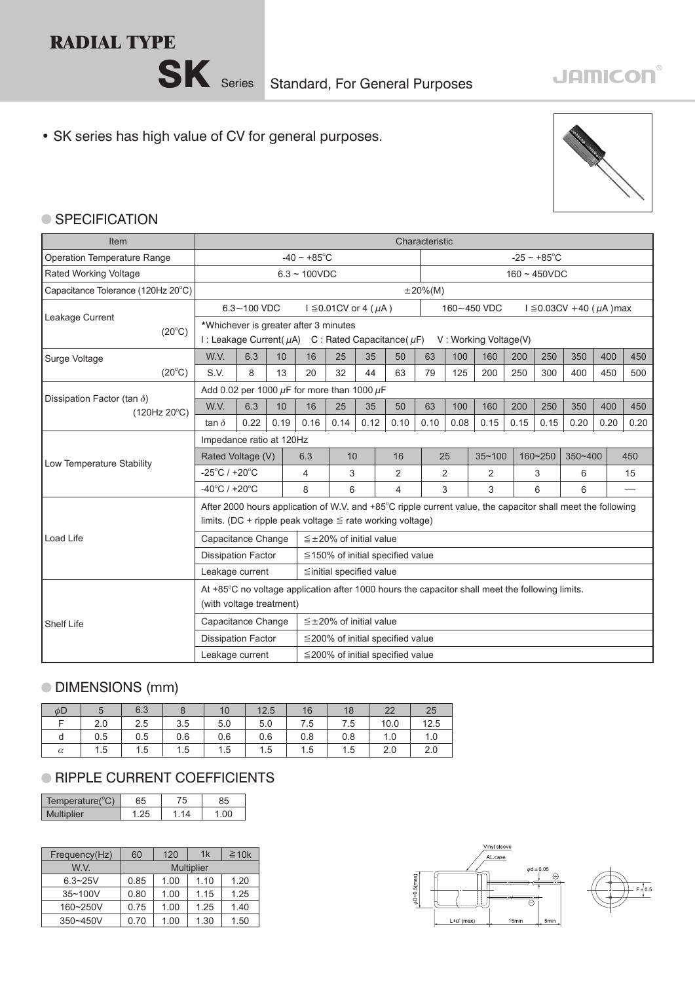



## **JAMICON®**

• SK series has high value of CV for general purposes.



## ● SPECIFICATION

| Item                                                        |                                                                                                                                                                               | Characteristic                                                                                                                |      |                                                      |                                        |                |                                        |                          |                |             |         |         |                            |      |      |
|-------------------------------------------------------------|-------------------------------------------------------------------------------------------------------------------------------------------------------------------------------|-------------------------------------------------------------------------------------------------------------------------------|------|------------------------------------------------------|----------------------------------------|----------------|----------------------------------------|--------------------------|----------------|-------------|---------|---------|----------------------------|------|------|
| Operation Temperature Range                                 |                                                                                                                                                                               |                                                                                                                               |      | $-40 \sim +85$ °C                                    |                                        |                |                                        | $-25 \sim +85^{\circ}$ C |                |             |         |         |                            |      |      |
| Rated Working Voltage                                       |                                                                                                                                                                               | $6.3 - 100VDC$                                                                                                                |      |                                                      |                                        |                | $160 \sim 450$ VDC                     |                          |                |             |         |         |                            |      |      |
| Capacitance Tolerance (120Hz 20°C)                          |                                                                                                                                                                               |                                                                                                                               |      |                                                      |                                        |                |                                        | $\pm 20\%$ (M)           |                |             |         |         |                            |      |      |
|                                                             |                                                                                                                                                                               | $6.3 - 100$ VDC                                                                                                               |      |                                                      | $I \leq 0.01$ CV or 4 ( $\mu$ A)       |                |                                        |                          |                | 160~450 VDC |         |         | $I ≤ 0.03CV + 40 (μA) max$ |      |      |
| Leakage Current<br>$(20^{\circ}C)$                          |                                                                                                                                                                               | *Whichever is greater after 3 minutes<br>I: Leakage Current( $\mu$ A) C: Rated Capacitance( $\mu$ F)<br>V: Working Voltage(V) |      |                                                      |                                        |                |                                        |                          |                |             |         |         |                            |      |      |
| Surge Voltage                                               | W.V.                                                                                                                                                                          | 6.3                                                                                                                           | 10   | 16                                                   | 25                                     | 35             | 50                                     | 63                       | 100            | 160         | 200     | 250     | 350                        | 400  | 450  |
| $(20^{\circ}C)$                                             | S.V.                                                                                                                                                                          | 8                                                                                                                             | 13   | 20                                                   | 32                                     | 44             | 63                                     | 79                       | 125            | 200         | 250     | 300     | 400                        | 450  | 500  |
|                                                             |                                                                                                                                                                               |                                                                                                                               |      | Add 0.02 per 1000 $\mu$ F for more than 1000 $\mu$ F |                                        |                |                                        |                          |                |             |         |         |                            |      |      |
| Dissipation Factor (tan $\delta$ )<br>$(120Hz 20^{\circ}C)$ | W.V.                                                                                                                                                                          | 6.3                                                                                                                           | 10   | 16                                                   | 25                                     | 35             | 50                                     | 63                       | 100            | 160         | 200     | 250     | 350                        | 400  | 450  |
|                                                             | tan $\delta$                                                                                                                                                                  | 0.22                                                                                                                          | 0.19 | 0.16                                                 | 0.14                                   | 0.12           | 0.10                                   | 0.10                     | 0.08           | 0.15        | 0.15    | 0.15    | 0.20                       | 0.20 | 0.20 |
|                                                             | Impedance ratio at 120Hz                                                                                                                                                      |                                                                                                                               |      |                                                      |                                        |                |                                        |                          |                |             |         |         |                            |      |      |
| Low Temperature Stability                                   | Rated Voltage (V)                                                                                                                                                             |                                                                                                                               | 6.3  | 10                                                   |                                        | 16             |                                        | 25                       | $35 - 100$     |             | 160~250 | 350~400 |                            | 450  |      |
|                                                             | $-25^{\circ}$ C / +20 $^{\circ}$ C                                                                                                                                            |                                                                                                                               | 4    | 3                                                    |                                        | $\overline{2}$ |                                        | 2                        | $\overline{2}$ |             | 3       | 6       |                            | 15   |      |
|                                                             | $-40^{\circ}$ C / +20 $^{\circ}$ C                                                                                                                                            |                                                                                                                               |      | 8                                                    | 6                                      |                | 4                                      |                          | 3              | 3           |         | 6       | 6                          |      |      |
|                                                             | After 2000 hours application of W.V. and +85°C ripple current value, the capacitor shall meet the following<br>limits. (DC + ripple peak voltage $\leq$ rate working voltage) |                                                                                                                               |      |                                                      |                                        |                |                                        |                          |                |             |         |         |                            |      |      |
|                                                             |                                                                                                                                                                               |                                                                                                                               |      |                                                      |                                        |                |                                        |                          |                |             |         |         |                            |      |      |
| Load Life                                                   | Capacitance Change                                                                                                                                                            |                                                                                                                               |      |                                                      | $\leq \pm 20\%$ of initial value       |                |                                        |                          |                |             |         |         |                            |      |      |
|                                                             | <b>Dissipation Factor</b>                                                                                                                                                     |                                                                                                                               |      |                                                      |                                        |                | $\leq$ 150% of initial specified value |                          |                |             |         |         |                            |      |      |
|                                                             | Leakage current                                                                                                                                                               |                                                                                                                               |      |                                                      | $\leq$ initial specified value         |                |                                        |                          |                |             |         |         |                            |      |      |
|                                                             | At +85°C no voltage application after 1000 hours the capacitor shall meet the following limits.                                                                               |                                                                                                                               |      |                                                      |                                        |                |                                        |                          |                |             |         |         |                            |      |      |
|                                                             | (with voltage treatment)                                                                                                                                                      |                                                                                                                               |      |                                                      |                                        |                |                                        |                          |                |             |         |         |                            |      |      |
| <b>Shelf Life</b>                                           | Capacitance Change                                                                                                                                                            |                                                                                                                               |      |                                                      | $\leq \pm 20\%$ of initial value       |                |                                        |                          |                |             |         |         |                            |      |      |
|                                                             | <b>Dissipation Factor</b>                                                                                                                                                     |                                                                                                                               |      |                                                      |                                        |                | $\leq$ 200% of initial specified value |                          |                |             |         |         |                            |      |      |
|                                                             | Leakage current                                                                                                                                                               |                                                                                                                               |      |                                                      | $\leq$ 200% of initial specified value |                |                                        |                          |                |             |         |         |                            |      |      |

## DIMENSIONS (mm)

| $\phi$ D |     | 6.3                                                                 |     | 10  | 12.5 | 16          | 18  | 22   | 25   |
|----------|-----|---------------------------------------------------------------------|-----|-----|------|-------------|-----|------|------|
|          | 2.0 | 2.5                                                                 | 3.5 | 5.0 | 5.0  | $\vert$ 7.5 | 7.5 | 10.0 | 12.5 |
| d        | 0.5 | $\begin{array}{cc} \begin{array}{cc} \end{array} & 0.5 \end{array}$ | 0.6 | 0.6 | 0.6  | $\vert$ 0.8 | 0.8 | 1.0  | 1.0  |
| $\alpha$ | 1.5 | 1.5                                                                 | 1.5 | 1.5 | 1.5  | 1.5         | 1.5 | 2.0  | 2.0  |

## **RIPPLE CURRENT COEFFICIENTS**

| Temperature( $^{\circ}$ C) | 55 | Έ | 35 |
|----------------------------|----|---|----|
| <b>Multiplier</b>          |    |   |    |

| Frequency(Hz) | 120<br>60 |                   | 1k   | $\geq 10k$ |  |
|---------------|-----------|-------------------|------|------------|--|
| W.V.          |           | <b>Multiplier</b> |      |            |  |
| $6.3 - 25V$   | 0.85      | 1.00              | 1.10 | 1.20       |  |
| 35~100V       | 0.80      | 1.00              | 1.15 | 1.25       |  |
| 160~250V      | 0.75      | 1.00              | 1.25 | 1.40       |  |
| 350~450V      | 0.70      | 1.00              | 1.30 | 1.50       |  |

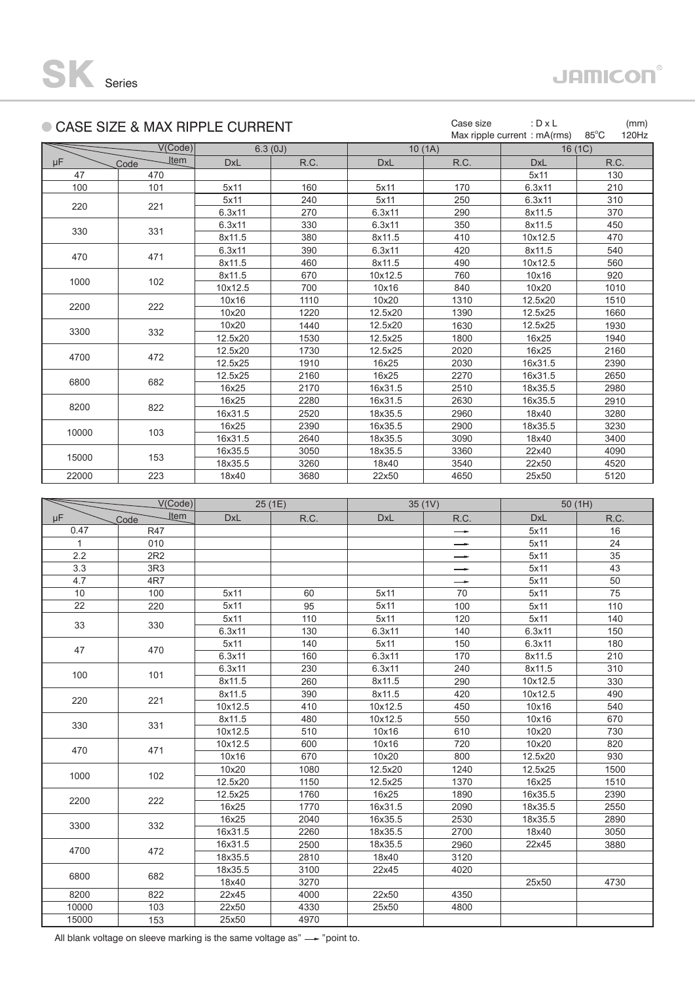|       | CASE SIZE & MAX RIPPLE CURRENT |            |         | Case size  | : $D \times L$ | (mm)                           |                         |  |
|-------|--------------------------------|------------|---------|------------|----------------|--------------------------------|-------------------------|--|
|       |                                |            |         |            |                | Max ripple current : $mA(rms)$ | $85^{\circ}$ C<br>120Hz |  |
|       | V(Code)                        |            | 6.3(0J) |            | 10(1A)         | 16(1C)                         |                         |  |
| μF    | Item<br>Code                   | <b>DxL</b> | R.C.    | <b>DxL</b> | R.C.           | <b>DxL</b>                     | R.C.                    |  |
| 47    | 470                            |            |         |            |                | 5x11                           | 130                     |  |
| 100   | 101                            | 5x11       | 160     | 5x11       | 170            | 6.3x11                         | 210                     |  |
| 220   |                                | 5x11       | 240     | 5x11       | 250            | 6.3x11                         | 310                     |  |
|       | 221                            | 6.3x11     | 270     | 6.3x11     | 290            | 8x11.5                         | 370                     |  |
| 330   | 331                            | 6.3x11     | 330     | 6.3x11     | 350            | 8x11.5                         | 450                     |  |
|       |                                | 8x11.5     | 380     | 8x11.5     | 410            | 10x12.5                        | 470                     |  |
| 470   |                                | 6.3x11     | 390     | 6.3x11     | 420            | 8x11.5                         | 540                     |  |
|       | 471                            | 8x11.5     | 460     | 8x11.5     | 490            | 10x12.5                        | 560                     |  |
|       |                                | 8x11.5     | 670     | 10x12.5    | 760            | 10x16                          | 920                     |  |
| 1000  | 102                            | 10x12.5    | 700     | 10x16      | 840            | 10x20                          | 1010                    |  |
| 2200  | 222                            | 10x16      | 1110    | 10x20      | 1310           | 12.5x20                        | 1510                    |  |
|       |                                | 10x20      | 1220    | 12.5x20    | 1390           | 12.5x25                        | 1660                    |  |
| 3300  | 332                            | 10x20      | 1440    | 12.5x20    | 1630           | 12.5x25                        | 1930                    |  |
|       |                                | 12.5x20    | 1530    | 12.5x25    | 1800           | 16x25                          | 1940                    |  |
| 4700  | 472                            | 12.5x20    | 1730    | 12.5x25    | 2020           | 16x25                          | 2160                    |  |
|       |                                | 12.5x25    | 1910    | 16x25      | 2030           | 16x31.5                        | 2390                    |  |
| 6800  | 682                            | 12.5x25    | 2160    | 16x25      | 2270           | 16x31.5                        | 2650                    |  |
|       |                                | 16x25      | 2170    | 16x31.5    | 2510           | 18x35.5                        | 2980                    |  |
| 8200  | 822                            | 16x25      | 2280    | 16x31.5    | 2630           | 16x35.5                        | 2910                    |  |
|       |                                | 16x31.5    | 2520    | 18x35.5    | 2960           | 18x40                          | 3280                    |  |
| 10000 | 103                            | 16x25      | 2390    | 16x35.5    | 2900           | 18x35.5                        | 3230                    |  |
|       |                                | 16x31.5    | 2640    | 18x35.5    | 3090           | 18x40                          | 3400                    |  |
| 15000 |                                | 16x35.5    | 3050    | 18x35.5    | 3360           | 22x40                          | 4090                    |  |
|       | 153                            | 18x35.5    | 3260    | 18x40      | 3540           | 22x50                          | 4520                    |  |
| 22000 | 223                            | 18x40      | 3680    | 22x50      | 4650           | 25x50                          | 5120                    |  |

|              | V(Code)             |            | 25(1E) |            | 35(1V)        | 50(1H)     |      |  |
|--------------|---------------------|------------|--------|------------|---------------|------------|------|--|
| μF           | <b>Item</b><br>Code | <b>DxL</b> | R.C.   | <b>DxL</b> | R.C.          | <b>DxL</b> | R.C. |  |
| 0.47         | <b>R47</b>          |            |        |            | $\rightarrow$ | 5x11       | 16   |  |
| $\mathbf{1}$ | 010                 |            |        |            | $\rightarrow$ | 5x11       | 24   |  |
| 2.2          | 2R2                 |            |        |            | $\rightarrow$ | 5x11       | 35   |  |
| 3.3          | 3R3                 |            |        |            | $\rightarrow$ | 5x11       | 43   |  |
| 4.7          | 4R7                 |            |        |            | $\rightarrow$ | 5x11       | 50   |  |
| 10           | 100                 | 5x11       | 60     | 5x11       | 70            | 5x11       | 75   |  |
| 22           | 220                 | 5x11       | 95     | 5x11       | 100           | 5x11       | 110  |  |
| 33           | 330                 | 5x11       | 110    | 5x11       | 120           | 5x11       | 140  |  |
|              |                     | 6.3x11     | 130    | 6.3x11     | 140           | 6.3x11     | 150  |  |
| 47           | 470                 | 5x11       | 140    | 5x11       | 150           | 6.3x11     | 180  |  |
|              |                     | 6.3x11     | 160    | 6.3x11     | 170           | 8x11.5     | 210  |  |
| 100          | 101                 | 6.3x11     | 230    | 6.3x11     | 240           | 8x11.5     | 310  |  |
|              |                     | 8x11.5     | 260    | 8x11.5     | 290           | 10x12.5    | 330  |  |
| 220          | 221                 | 8x11.5     | 390    | 8x11.5     | 420           | 10x12.5    | 490  |  |
|              |                     | 10x12.5    | 410    | 10x12.5    | 450           | 10x16      | 540  |  |
| 330          | 331                 | 8x11.5     | 480    | 10x12.5    | 550           | 10x16      | 670  |  |
|              |                     | 10x12.5    | 510    | 10x16      | 610           | 10x20      | 730  |  |
| 470          | 471                 | 10x12.5    | 600    | 10x16      | 720           | 10x20      | 820  |  |
|              |                     | 10x16      | 670    | 10x20      | 800           | 12.5x20    | 930  |  |
| 1000         | 102                 | 10x20      | 1080   | 12.5x20    | 1240          | 12.5x25    | 1500 |  |
|              |                     | 12.5x20    | 1150   | 12.5x25    | 1370          | 16x25      | 1510 |  |
| 2200         | 222                 | 12.5x25    | 1760   | 16x25      | 1890          | 16x35.5    | 2390 |  |
|              |                     | 16x25      | 1770   | 16x31.5    | 2090          | 18x35.5    | 2550 |  |
| 3300         | 332                 | 16x25      | 2040   | 16x35.5    | 2530          | 18x35.5    | 2890 |  |
|              |                     | 16x31.5    | 2260   | 18x35.5    | 2700          | 18x40      | 3050 |  |
| 4700         | 472                 | 16x31.5    | 2500   | 18x35.5    | 2960          | 22x45      | 3880 |  |
|              |                     | 18x35.5    | 2810   | 18x40      | 3120          |            |      |  |
| 6800         | 682                 | 18x35.5    | 3100   | 22x45      | 4020          |            |      |  |
|              |                     | 18x40      | 3270   |            |               | 25x50      | 4730 |  |
| 8200         | 822                 | 22x45      | 4000   | 22x50      | 4350          |            |      |  |
| 10000        | 103                 | 22x50      | 4330   | 25x50      | 4800          |            |      |  |
| 15000        | 153                 | 25x50      | 4970   |            |               |            |      |  |

All blank voltage on sleeve marking is the same voltage as" $\longrightarrow$ "point to.